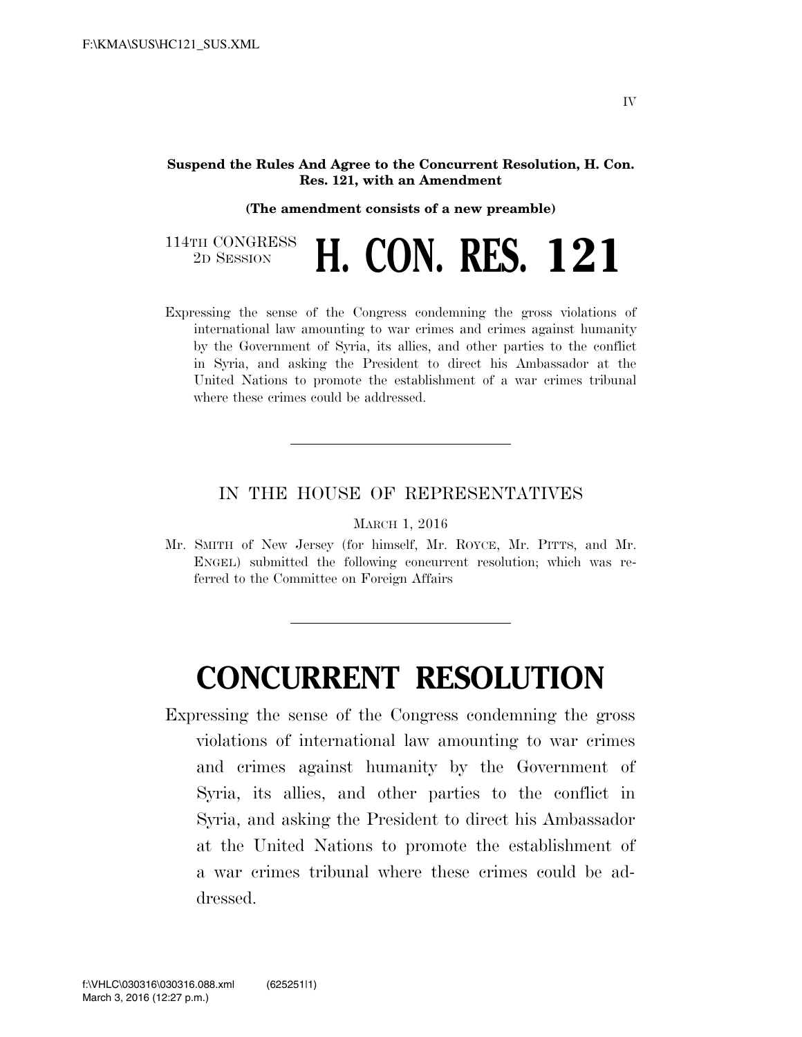## **Suspend the Rules And Agree to the Concurrent Resolution, H. Con. Res. 121, with an Amendment**

## **(The amendment consists of a new preamble)**

114TH CONGRESS<br>2D SESSION 2D SESSION **H. CON. RES. 121**

Expressing the sense of the Congress condemning the gross violations of international law amounting to war crimes and crimes against humanity by the Government of Syria, its allies, and other parties to the conflict in Syria, and asking the President to direct his Ambassador at the United Nations to promote the establishment of a war crimes tribunal where these crimes could be addressed.

## IN THE HOUSE OF REPRESENTATIVES

MARCH 1, 2016

Mr. SMITH of New Jersey (for himself, Mr. ROYCE, Mr. PITTS, and Mr. ENGEL) submitted the following concurrent resolution; which was referred to the Committee on Foreign Affairs

## **CONCURRENT RESOLUTION**

Expressing the sense of the Congress condemning the gross violations of international law amounting to war crimes and crimes against humanity by the Government of Syria, its allies, and other parties to the conflict in Syria, and asking the President to direct his Ambassador at the United Nations to promote the establishment of a war crimes tribunal where these crimes could be addressed.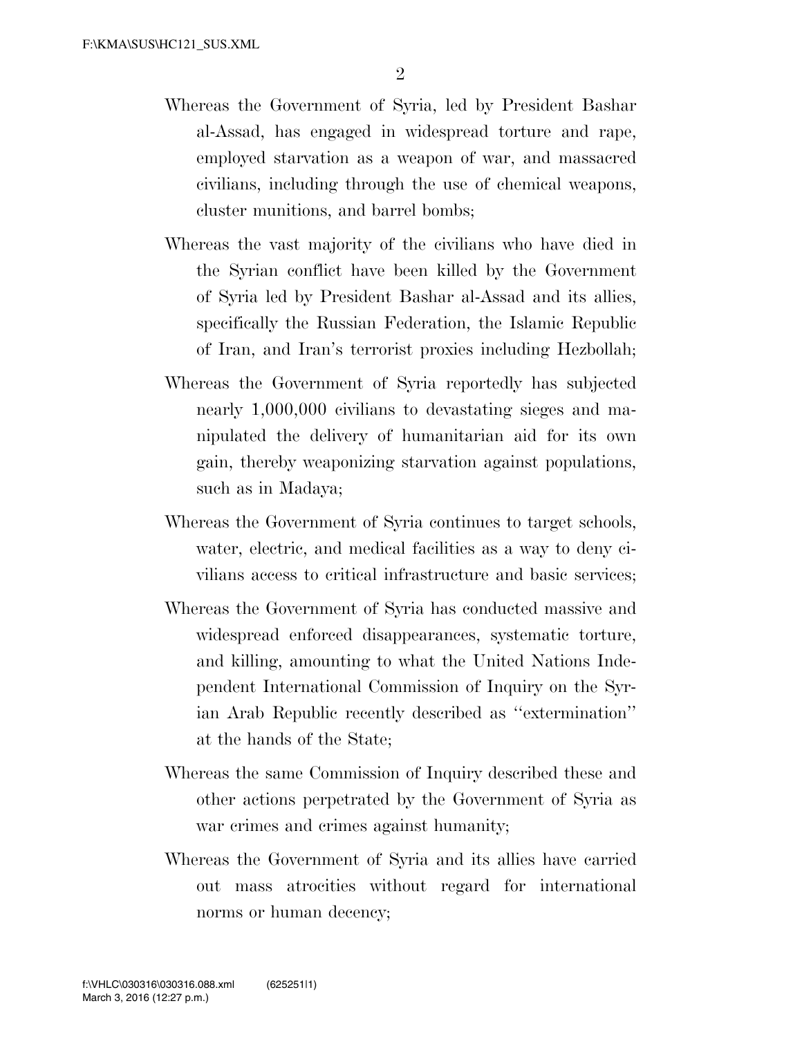- Whereas the Government of Syria, led by President Bashar al-Assad, has engaged in widespread torture and rape, employed starvation as a weapon of war, and massacred civilians, including through the use of chemical weapons, cluster munitions, and barrel bombs;
- Whereas the vast majority of the civilians who have died in the Syrian conflict have been killed by the Government of Syria led by President Bashar al-Assad and its allies, specifically the Russian Federation, the Islamic Republic of Iran, and Iran's terrorist proxies including Hezbollah;
- Whereas the Government of Syria reportedly has subjected nearly 1,000,000 civilians to devastating sieges and manipulated the delivery of humanitarian aid for its own gain, thereby weaponizing starvation against populations, such as in Madaya;
- Whereas the Government of Syria continues to target schools, water, electric, and medical facilities as a way to deny civilians access to critical infrastructure and basic services;
- Whereas the Government of Syria has conducted massive and widespread enforced disappearances, systematic torture, and killing, amounting to what the United Nations Independent International Commission of Inquiry on the Syrian Arab Republic recently described as ''extermination'' at the hands of the State;
- Whereas the same Commission of Inquiry described these and other actions perpetrated by the Government of Syria as war crimes and crimes against humanity;
- Whereas the Government of Syria and its allies have carried out mass atrocities without regard for international norms or human decency;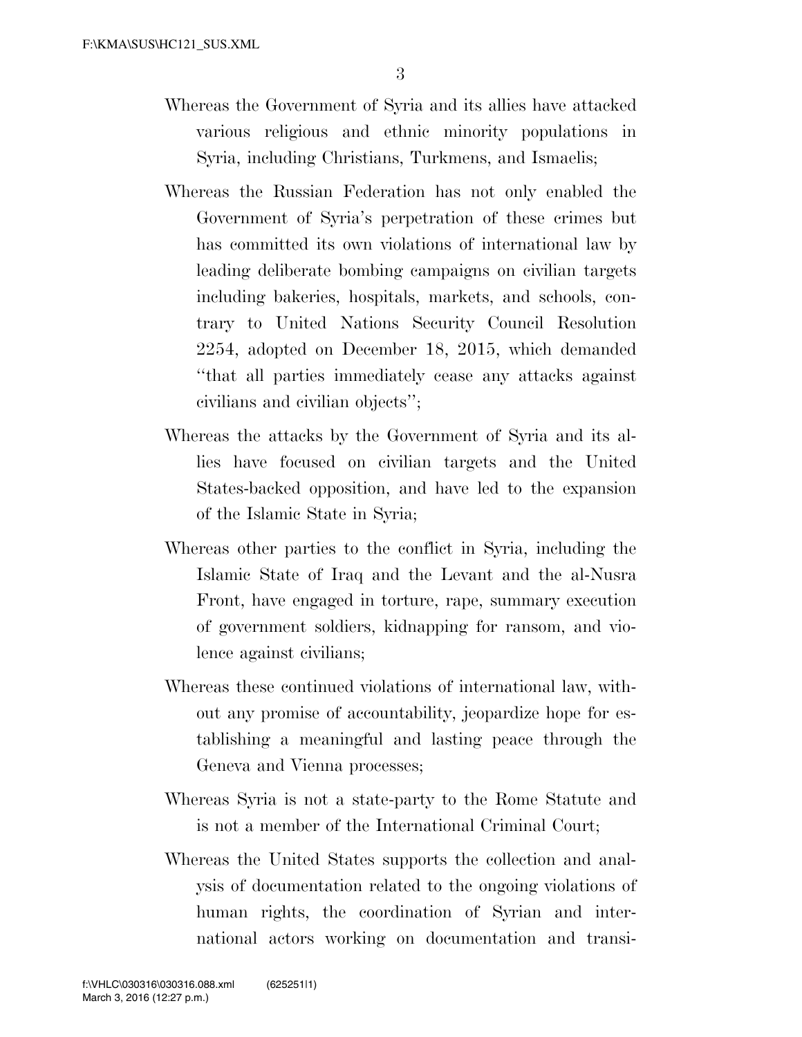- Whereas the Government of Syria and its allies have attacked various religious and ethnic minority populations in Syria, including Christians, Turkmens, and Ismaelis;
- Whereas the Russian Federation has not only enabled the Government of Syria's perpetration of these crimes but has committed its own violations of international law by leading deliberate bombing campaigns on civilian targets including bakeries, hospitals, markets, and schools, contrary to United Nations Security Council Resolution 2254, adopted on December 18, 2015, which demanded ''that all parties immediately cease any attacks against civilians and civilian objects'';
- Whereas the attacks by the Government of Syria and its allies have focused on civilian targets and the United States-backed opposition, and have led to the expansion of the Islamic State in Syria;
- Whereas other parties to the conflict in Syria, including the Islamic State of Iraq and the Levant and the al-Nusra Front, have engaged in torture, rape, summary execution of government soldiers, kidnapping for ransom, and violence against civilians;
- Whereas these continued violations of international law, without any promise of accountability, jeopardize hope for establishing a meaningful and lasting peace through the Geneva and Vienna processes;
- Whereas Syria is not a state-party to the Rome Statute and is not a member of the International Criminal Court;
- Whereas the United States supports the collection and analysis of documentation related to the ongoing violations of human rights, the coordination of Syrian and international actors working on documentation and transi-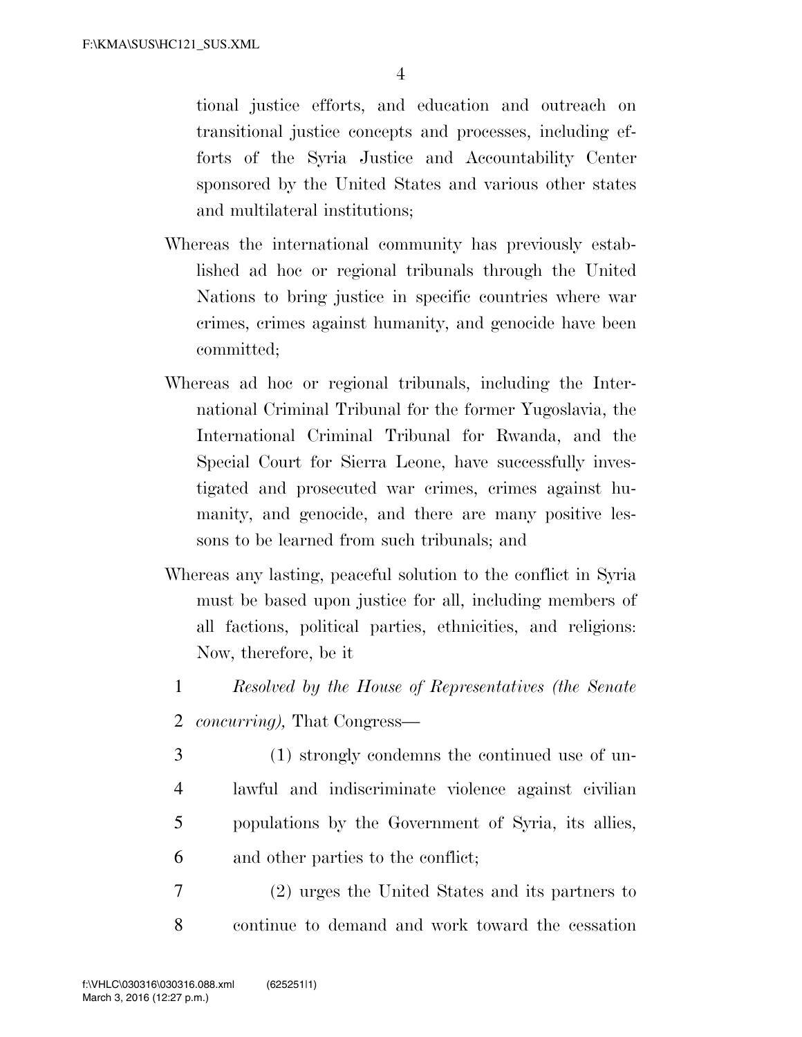tional justice efforts, and education and outreach on transitional justice concepts and processes, including efforts of the Syria Justice and Accountability Center sponsored by the United States and various other states and multilateral institutions;

- Whereas the international community has previously established ad hoc or regional tribunals through the United Nations to bring justice in specific countries where war crimes, crimes against humanity, and genocide have been committed;
- Whereas ad hoc or regional tribunals, including the International Criminal Tribunal for the former Yugoslavia, the International Criminal Tribunal for Rwanda, and the Special Court for Sierra Leone, have successfully investigated and prosecuted war crimes, crimes against humanity, and genocide, and there are many positive lessons to be learned from such tribunals; and
- Whereas any lasting, peaceful solution to the conflict in Syria must be based upon justice for all, including members of all factions, political parties, ethnicities, and religions: Now, therefore, be it
	- 1 *Resolved by the House of Representatives (the Senate*
	- 2 *concurring),* That Congress—
	- 3 (1) strongly condemns the continued use of un-4 lawful and indiscriminate violence against civilian 5 populations by the Government of Syria, its allies, 6 and other parties to the conflict;
- 7 (2) urges the United States and its partners to 8 continue to demand and work toward the cessation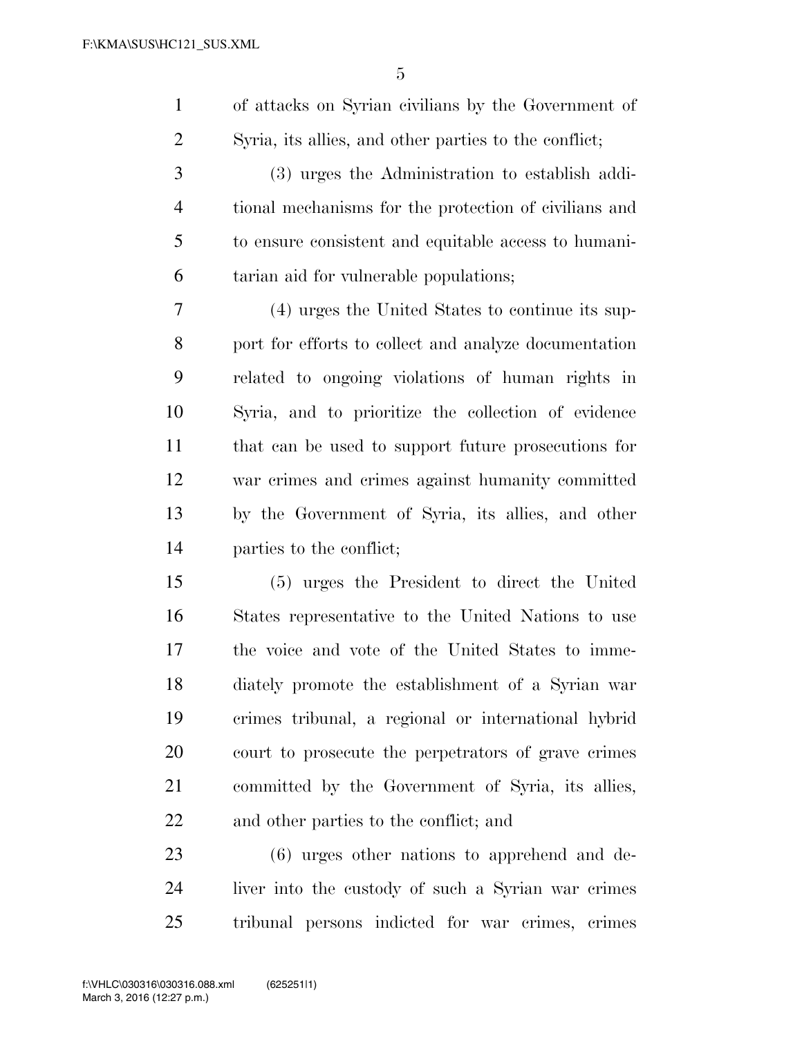of attacks on Syrian civilians by the Government of Syria, its allies, and other parties to the conflict;

 (3) urges the Administration to establish addi- tional mechanisms for the protection of civilians and to ensure consistent and equitable access to humani-tarian aid for vulnerable populations;

 (4) urges the United States to continue its sup- port for efforts to collect and analyze documentation related to ongoing violations of human rights in Syria, and to prioritize the collection of evidence that can be used to support future prosecutions for war crimes and crimes against humanity committed by the Government of Syria, its allies, and other parties to the conflict;

 (5) urges the President to direct the United States representative to the United Nations to use the voice and vote of the United States to imme- diately promote the establishment of a Syrian war crimes tribunal, a regional or international hybrid court to prosecute the perpetrators of grave crimes committed by the Government of Syria, its allies, and other parties to the conflict; and

 (6) urges other nations to apprehend and de- liver into the custody of such a Syrian war crimes tribunal persons indicted for war crimes, crimes